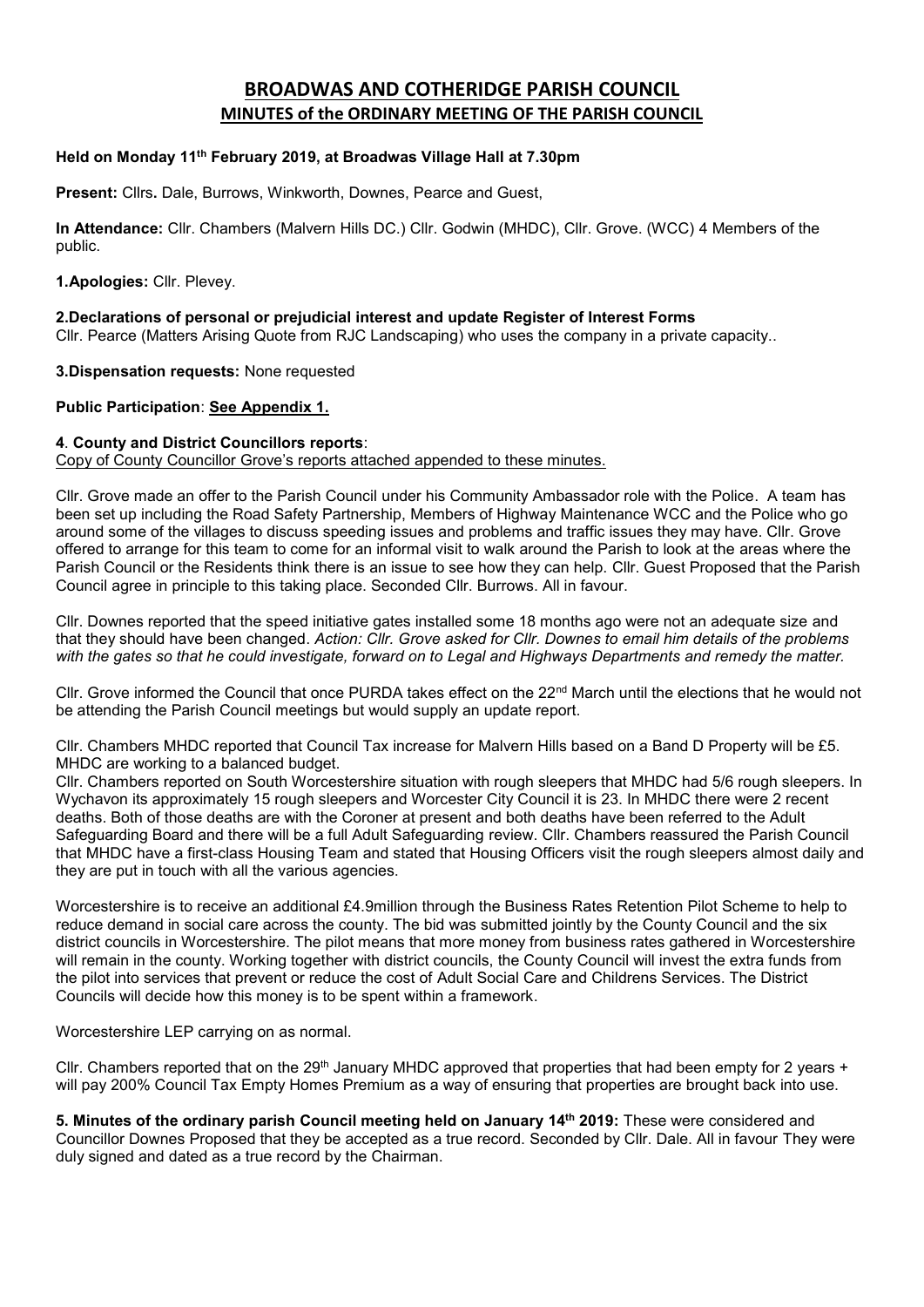# **BROADWAS AND COTHERIDGE PARISH COUNCIL MINUTES of the ORDINARY MEETING OF THE PARISH COUNCIL**

#### **Held on Monday 11 th February 2019, at Broadwas Village Hall at 7.30pm**

**Present:** Cllrs**.** Dale, Burrows, Winkworth, Downes, Pearce and Guest,

**In Attendance:** Cllr. Chambers (Malvern Hills DC.) Cllr. Godwin (MHDC), Cllr. Grove. (WCC) 4 Members of the public.

**1.Apologies:** Cllr. Plevey.

**2.Declarations of personal or prejudicial interest and update Register of Interest Forms** Cllr. Pearce (Matters Arising Quote from RJC Landscaping) who uses the company in a private capacity..

**3.Dispensation requests:** None requested

**Public Participation**: **See Appendix 1.**

#### **4**. **County and District Councillors reports**:

Copy of County Councillor Grove's reports attached appended to these minutes.

Cllr. Grove made an offer to the Parish Council under his Community Ambassador role with the Police. A team has been set up including the Road Safety Partnership, Members of Highway Maintenance WCC and the Police who go around some of the villages to discuss speeding issues and problems and traffic issues they may have. Cllr. Grove offered to arrange for this team to come for an informal visit to walk around the Parish to look at the areas where the Parish Council or the Residents think there is an issue to see how they can help. Cllr. Guest Proposed that the Parish Council agree in principle to this taking place. Seconded Cllr. Burrows. All in favour.

Cllr. Downes reported that the speed initiative gates installed some 18 months ago were not an adequate size and that they should have been changed. *Action: Cllr. Grove asked for Cllr. Downes to email him details of the problems with the gates so that he could investigate, forward on to Legal and Highways Departments and remedy the matter.*

Cllr. Grove informed the Council that once PURDA takes effect on the 22<sup>nd</sup> March until the elections that he would not be attending the Parish Council meetings but would supply an update report.

Cllr. Chambers MHDC reported that Council Tax increase for Malvern Hills based on a Band D Property will be £5. MHDC are working to a balanced budget.

Cllr. Chambers reported on South Worcestershire situation with rough sleepers that MHDC had 5/6 rough sleepers. In Wychavon its approximately 15 rough sleepers and Worcester City Council it is 23. In MHDC there were 2 recent deaths. Both of those deaths are with the Coroner at present and both deaths have been referred to the Adult Safeguarding Board and there will be a full Adult Safeguarding review. Cllr. Chambers reassured the Parish Council that MHDC have a first-class Housing Team and stated that Housing Officers visit the rough sleepers almost daily and they are put in touch with all the various agencies.

Worcestershire is to receive an additional £4.9million through the Business Rates Retention Pilot Scheme to help to reduce demand in social care across the county. The bid was submitted jointly by the County Council and the six district councils in Worcestershire. The pilot means that more money from business rates gathered in Worcestershire will remain in the county. Working together with district councils, the County Council will invest the extra funds from the pilot into services that prevent or reduce the cost of Adult Social Care and Childrens Services. The District Councils will decide how this money is to be spent within a framework.

Worcestershire LEP carrying on as normal.

Cllr. Chambers reported that on the 29<sup>th</sup> January MHDC approved that properties that had been empty for 2 years + will pay 200% Council Tax Empty Homes Premium as a way of ensuring that properties are brought back into use.

**5. Minutes of the ordinary parish Council meeting held on January 14 th 2019:** These were considered and Councillor Downes Proposed that they be accepted as a true record. Seconded by Cllr. Dale. All in favour They were duly signed and dated as a true record by the Chairman.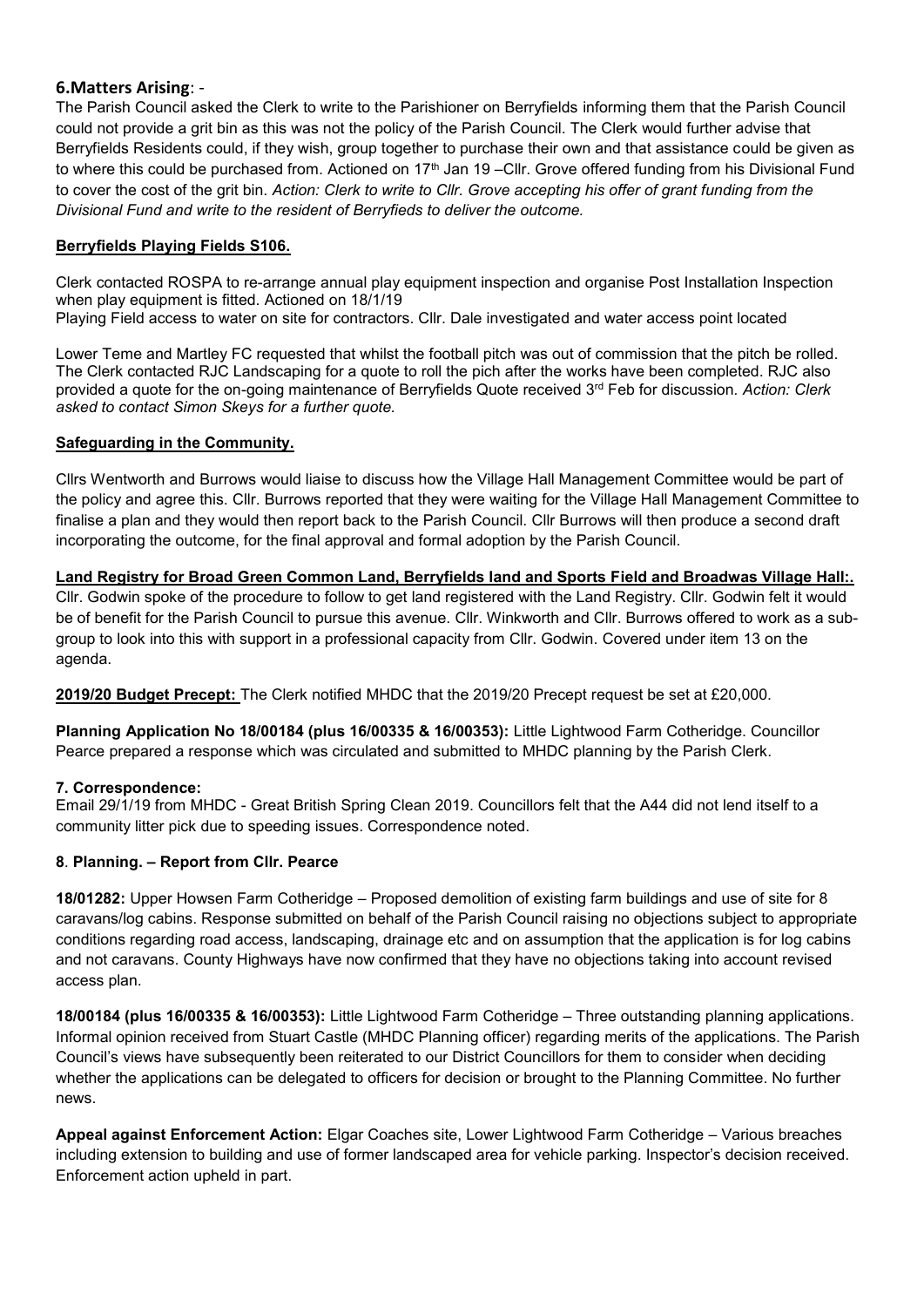### **6.Matters Arising**: -

The Parish Council asked the Clerk to write to the Parishioner on Berryfields informing them that the Parish Council could not provide a grit bin as this was not the policy of the Parish Council. The Clerk would further advise that Berryfields Residents could, if they wish, group together to purchase their own and that assistance could be given as to where this could be purchased from. Actioned on 17<sup>th</sup> Jan 19 –Cllr. Grove offered funding from his Divisional Fund to cover the cost of the grit bin. *Action: Clerk to write to Cllr. Grove accepting his offer of grant funding from the Divisional Fund and write to the resident of Berryfieds to deliver the outcome.*

### **Berryfields Playing Fields S106.**

Clerk contacted ROSPA to re-arrange annual play equipment inspection and organise Post Installation Inspection when play equipment is fitted. Actioned on 18/1/19

Playing Field access to water on site for contractors. Cllr. Dale investigated and water access point located

Lower Teme and Martley FC requested that whilst the football pitch was out of commission that the pitch be rolled. The Clerk contacted RJC Landscaping for a quote to roll the pich after the works have been completed. RJC also provided a quote for the on-going maintenance of Berryfields Quote received 3rd Feb for discussion*. Action: Clerk asked to contact Simon Skeys for a further quote.*

### **Safeguarding in the Community.**

Cllrs Wentworth and Burrows would liaise to discuss how the Village Hall Management Committee would be part of the policy and agree this. Cllr. Burrows reported that they were waiting for the Village Hall Management Committee to finalise a plan and they would then report back to the Parish Council. Cllr Burrows will then produce a second draft incorporating the outcome, for the final approval and formal adoption by the Parish Council.

## **Land Registry for Broad Green Common Land, Berryfields land and Sports Field and Broadwas Village Hall:.**

Cllr. Godwin spoke of the procedure to follow to get land registered with the Land Registry. Cllr. Godwin felt it would be of benefit for the Parish Council to pursue this avenue. Cllr. Winkworth and Cllr. Burrows offered to work as a subgroup to look into this with support in a professional capacity from Cllr. Godwin. Covered under item 13 on the agenda.

**2019/20 Budget Precept:** The Clerk notified MHDC that the 2019/20 Precept request be set at £20,000.

**Planning Application No 18/00184 (plus 16/00335 & 16/00353):** Little Lightwood Farm Cotheridge. Councillor Pearce prepared a response which was circulated and submitted to MHDC planning by the Parish Clerk.

### **7. Correspondence:**

Email 29/1/19 from MHDC - Great British Spring Clean 2019. Councillors felt that the A44 did not lend itself to a community litter pick due to speeding issues. Correspondence noted.

### **8**. **Planning. – Report from Cllr. Pearce**

**18/01282:** Upper Howsen Farm Cotheridge – Proposed demolition of existing farm buildings and use of site for 8 caravans/log cabins. Response submitted on behalf of the Parish Council raising no objections subject to appropriate conditions regarding road access, landscaping, drainage etc and on assumption that the application is for log cabins and not caravans. County Highways have now confirmed that they have no objections taking into account revised access plan.

**18/00184 (plus 16/00335 & 16/00353):** Little Lightwood Farm Cotheridge – Three outstanding planning applications. Informal opinion received from Stuart Castle (MHDC Planning officer) regarding merits of the applications. The Parish Council's views have subsequently been reiterated to our District Councillors for them to consider when deciding whether the applications can be delegated to officers for decision or brought to the Planning Committee. No further news.

**Appeal against Enforcement Action:** Elgar Coaches site, Lower Lightwood Farm Cotheridge – Various breaches including extension to building and use of former landscaped area for vehicle parking. Inspector's decision received. Enforcement action upheld in part.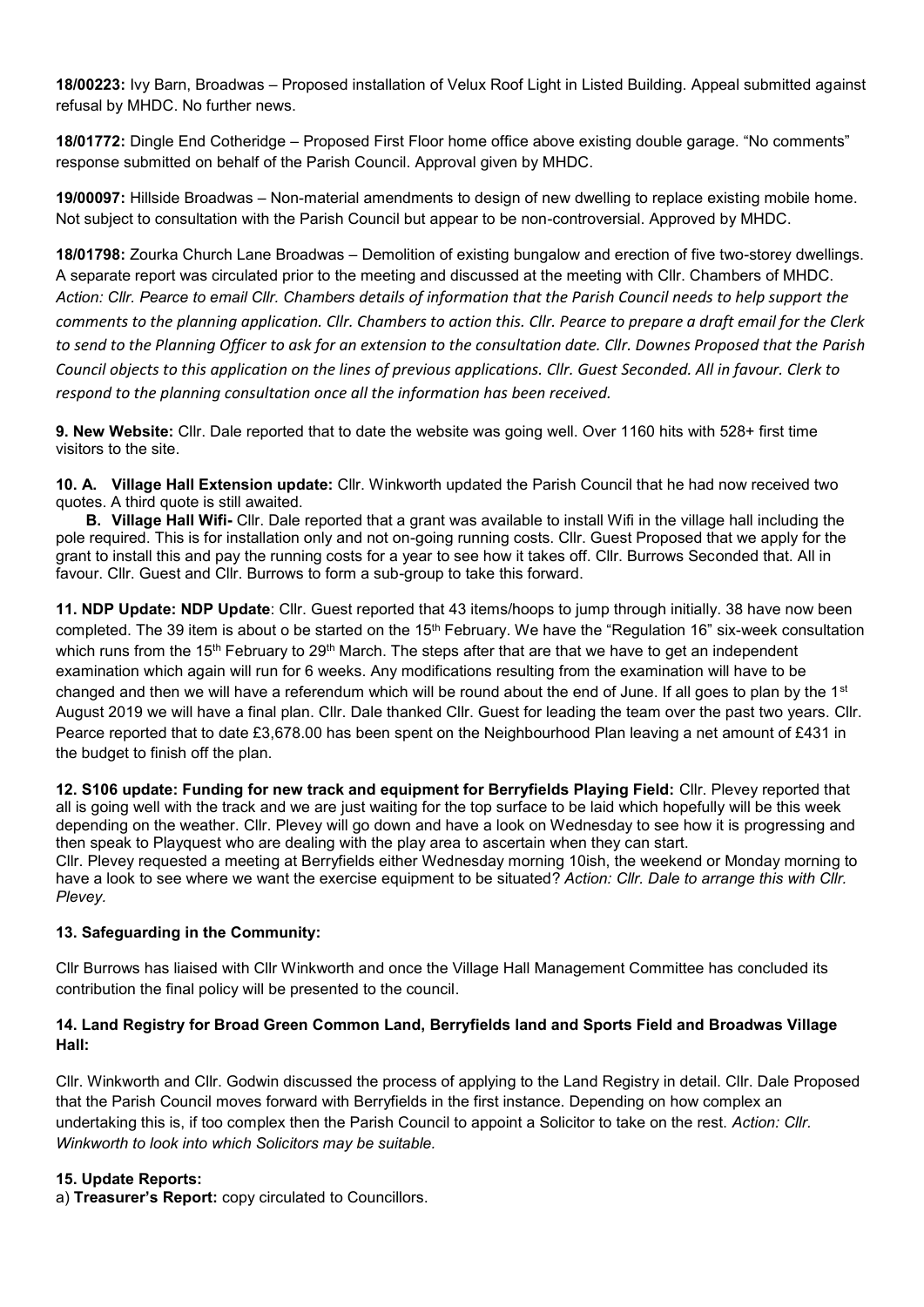**18/00223:** Ivy Barn, Broadwas – Proposed installation of Velux Roof Light in Listed Building. Appeal submitted against refusal by MHDC. No further news.

**18/01772:** Dingle End Cotheridge – Proposed First Floor home office above existing double garage. "No comments" response submitted on behalf of the Parish Council. Approval given by MHDC.

**19/00097:** Hillside Broadwas – Non-material amendments to design of new dwelling to replace existing mobile home. Not subject to consultation with the Parish Council but appear to be non-controversial. Approved by MHDC.

**18/01798:** Zourka Church Lane Broadwas – Demolition of existing bungalow and erection of five two-storey dwellings. A separate report was circulated prior to the meeting and discussed at the meeting with Cllr. Chambers of MHDC. *Action: Cllr. Pearce to email Cllr. Chambers details of information that the Parish Council needs to help support the comments to the planning application. Cllr. Chambers to action this. Cllr. Pearce to prepare a draft email for the Clerk to send to the Planning Officer to ask for an extension to the consultation date. Cllr. Downes Proposed that the Parish Council objects to this application on the lines of previous applications. Cllr. Guest Seconded. All in favour. Clerk to respond to the planning consultation once all the information has been received.*

**9. New Website:** Cllr. Dale reported that to date the website was going well. Over 1160 hits with 528+ first time visitors to the site.

**10. A. Village Hall Extension update:** Cllr. Winkworth updated the Parish Council that he had now received two quotes. A third quote is still awaited.

 **B. Village Hall Wifi-** Cllr. Dale reported that a grant was available to install Wifi in the village hall including the pole required. This is for installation only and not on-going running costs. Cllr. Guest Proposed that we apply for the grant to install this and pay the running costs for a year to see how it takes off. Cllr. Burrows Seconded that. All in favour. Cllr. Guest and Cllr. Burrows to form a sub-group to take this forward.

**11. NDP Update: NDP Update**: Cllr. Guest reported that 43 items/hoops to jump through initially. 38 have now been completed. The 39 item is about o be started on the 15<sup>th</sup> February. We have the "Regulation 16" six-week consultation which runs from the 15<sup>th</sup> February to 29<sup>th</sup> March. The steps after that are that we have to get an independent examination which again will run for 6 weeks. Any modifications resulting from the examination will have to be changed and then we will have a referendum which will be round about the end of June. If all goes to plan by the 1<sup>st</sup> August 2019 we will have a final plan. Cllr. Dale thanked Cllr. Guest for leading the team over the past two years. Cllr. Pearce reported that to date £3,678.00 has been spent on the Neighbourhood Plan leaving a net amount of £431 in the budget to finish off the plan.

**12. S106 update: Funding for new track and equipment for Berryfields Playing Field:** Cllr. Plevey reported that all is going well with the track and we are just waiting for the top surface to be laid which hopefully will be this week depending on the weather. Cllr. Plevey will go down and have a look on Wednesday to see how it is progressing and then speak to Playquest who are dealing with the play area to ascertain when they can start. Cllr. Plevey requested a meeting at Berryfields either Wednesday morning 10ish, the weekend or Monday morning to have a look to see where we want the exercise equipment to be situated? *Action: Cllr. Dale to arrange this with Cllr. Plevey.*

### **13. Safeguarding in the Community:**

Cllr Burrows has liaised with Cllr Winkworth and once the Village Hall Management Committee has concluded its contribution the final policy will be presented to the council.

### **14. Land Registry for Broad Green Common Land, Berryfields land and Sports Field and Broadwas Village Hall:**

Cllr. Winkworth and Cllr. Godwin discussed the process of applying to the Land Registry in detail. Cllr. Dale Proposed that the Parish Council moves forward with Berryfields in the first instance. Depending on how complex an undertaking this is, if too complex then the Parish Council to appoint a Solicitor to take on the rest. *Action: Cllr. Winkworth to look into which Solicitors may be suitable.*

### **15. Update Reports:**

a) **Treasurer's Report:** copy circulated to Councillors.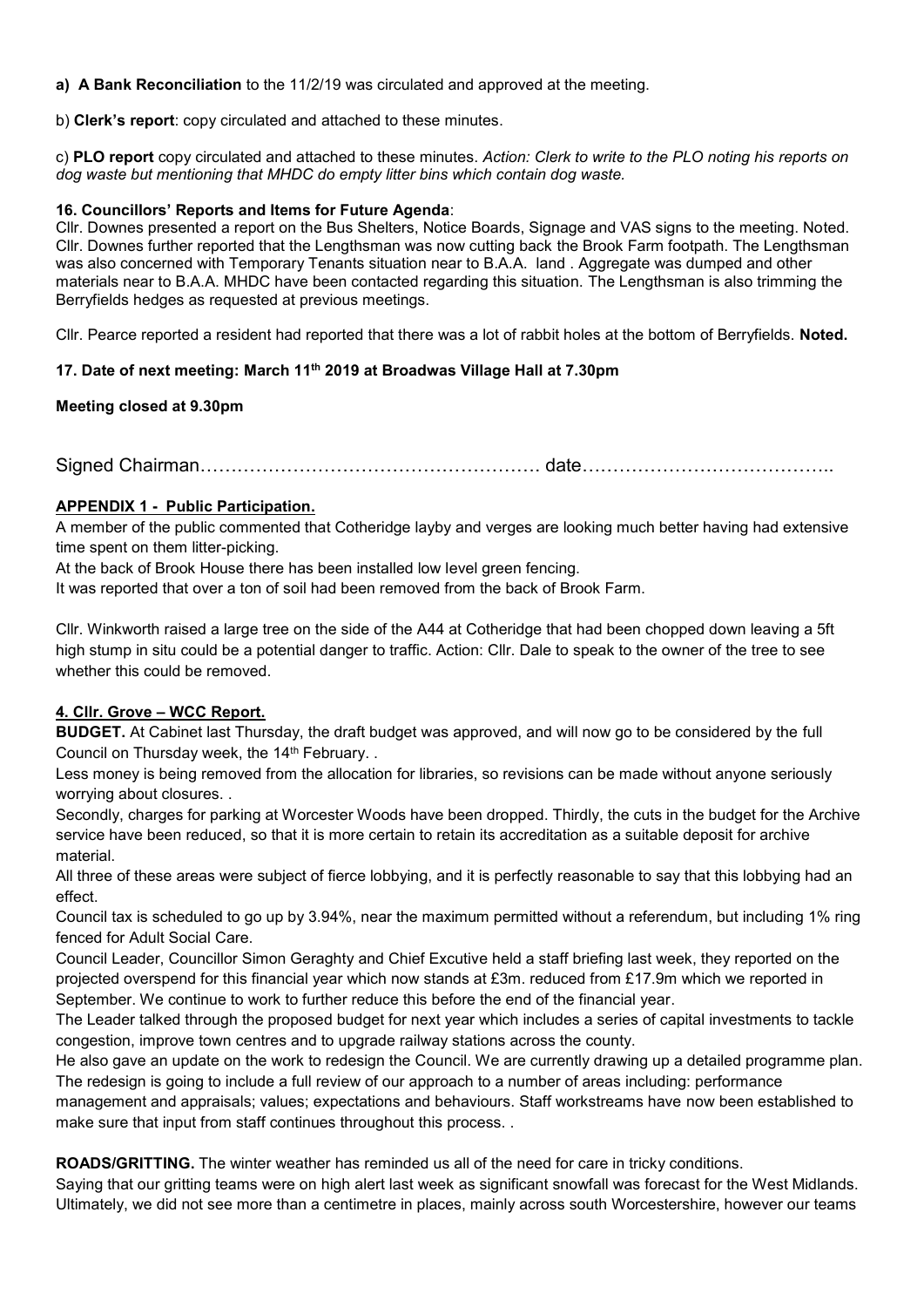**a) A Bank Reconciliation** to the 11/2/19 was circulated and approved at the meeting.

b) **Clerk's report**: copy circulated and attached to these minutes.

c) **PLO report** copy circulated and attached to these minutes. *Action: Clerk to write to the PLO noting his reports on dog waste but mentioning that MHDC do empty litter bins which contain dog waste.*

### **16. Councillors' Reports and Items for Future Agenda**:

Cllr. Downes presented a report on the Bus Shelters, Notice Boards, Signage and VAS signs to the meeting. Noted. Cllr. Downes further reported that the Lengthsman was now cutting back the Brook Farm footpath. The Lengthsman was also concerned with Temporary Tenants situation near to B.A.A. land . Aggregate was dumped and other materials near to B.A.A. MHDC have been contacted regarding this situation. The Lengthsman is also trimming the Berryfields hedges as requested at previous meetings.

Cllr. Pearce reported a resident had reported that there was a lot of rabbit holes at the bottom of Berryfields. **Noted.**

## **17. Date of next meeting: March 11 th 2019 at Broadwas Village Hall at 7.30pm**

## **Meeting closed at 9.30pm**

Signed Chairman………………………………………………. date…………………………………..

## **APPENDIX 1 - Public Participation.**

A member of the public commented that Cotheridge layby and verges are looking much better having had extensive time spent on them litter-picking.

At the back of Brook House there has been installed low level green fencing.

It was reported that over a ton of soil had been removed from the back of Brook Farm.

Cllr. Winkworth raised a large tree on the side of the A44 at Cotheridge that had been chopped down leaving a 5ft high stump in situ could be a potential danger to traffic. Action: Cllr. Dale to speak to the owner of the tree to see whether this could be removed.

## **4. Cllr. Grove – WCC Report.**

**BUDGET.** At Cabinet last Thursday, the draft budget was approved, and will now go to be considered by the full Council on Thursday week, the 14<sup>th</sup> February. .

Less money is being removed from the allocation for libraries, so revisions can be made without anyone seriously worrying about closures. .

Secondly, charges for parking at Worcester Woods have been dropped. Thirdly, the cuts in the budget for the Archive service have been reduced, so that it is more certain to retain its accreditation as a suitable deposit for archive material.

All three of these areas were subject of fierce lobbying, and it is perfectly reasonable to say that this lobbying had an effect.

Council tax is scheduled to go up by 3.94%, near the maximum permitted without a referendum, but including 1% ring fenced for Adult Social Care.

Council Leader, Councillor Simon Geraghty and Chief Excutive held a staff briefing last week, they reported on the projected overspend for this financial year which now stands at £3m. reduced from £17.9m which we reported in September. We continue to work to further reduce this before the end of the financial year.

The Leader talked through the proposed budget for next year which includes a series of capital investments to tackle congestion, improve town centres and to upgrade railway stations across the county.

He also gave an update on the work to redesign the Council. We are currently drawing up a detailed programme plan. The redesign is going to include a full review of our approach to a number of areas including: performance

management and appraisals; values; expectations and behaviours. Staff workstreams have now been established to make sure that input from staff continues throughout this process. .

**ROADS/GRITTING.** The winter weather has reminded us all of the need for care in tricky conditions.

Saying that our gritting teams were on high alert last week as significant snowfall was forecast for the West Midlands. Ultimately, we did not see more than a centimetre in places, mainly across south Worcestershire, however our teams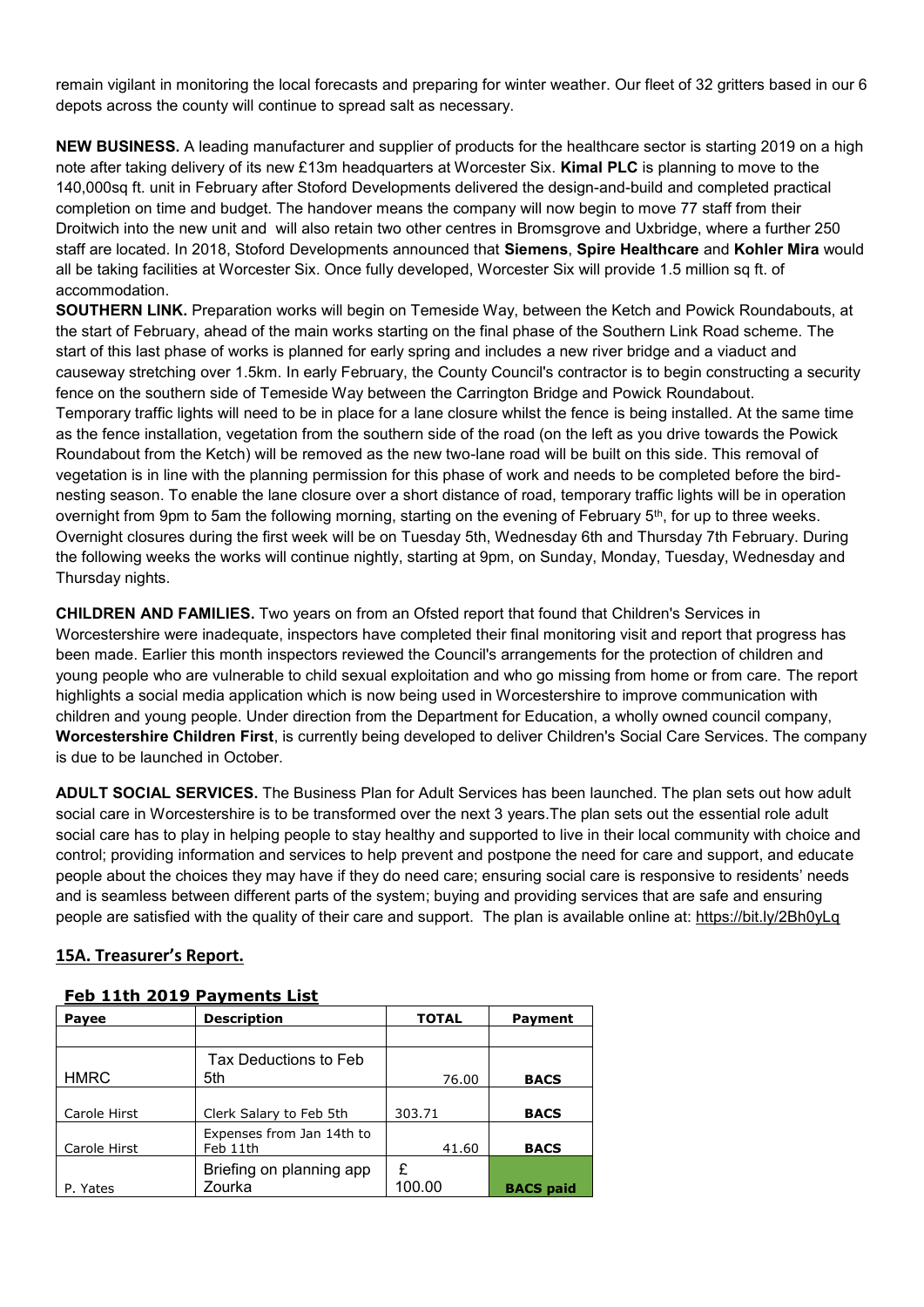remain vigilant in monitoring the local forecasts and preparing for winter weather. Our fleet of 32 gritters based in our 6 depots across the county will continue to spread salt as necessary.

**NEW BUSINESS.** A leading manufacturer and supplier of products for the healthcare sector is starting 2019 on a high note after taking delivery of its new £13m headquarters at Worcester Six. **Kimal PLC** is planning to move to the 140,000sq ft. unit in February after Stoford Developments delivered the design-and-build and completed practical completion on time and budget. The handover means the company will now begin to move 77 staff from their Droitwich into the new unit and will also retain two other centres in Bromsgrove and Uxbridge, where a further 250 staff are located. In 2018, Stoford Developments announced that **Siemens**, **Spire Healthcare** and **Kohler Mira** would all be taking facilities at Worcester Six. Once fully developed, Worcester Six will provide 1.5 million sg ft. of accommodation.

**SOUTHERN LINK.** Preparation works will begin on Temeside Way, between the Ketch and Powick Roundabouts, at the start of February, ahead of the main works starting on the final phase of the Southern Link Road scheme. The start of this last phase of works is planned for early spring and includes a new river bridge and a viaduct and causeway stretching over 1.5km. In early February, the County Council's contractor is to begin constructing a security fence on the southern side of Temeside Way between the Carrington Bridge and Powick Roundabout. Temporary traffic lights will need to be in place for a lane closure whilst the fence is being installed. At the same time as the fence installation, vegetation from the southern side of the road (on the left as you drive towards the Powick Roundabout from the Ketch) will be removed as the new two-lane road will be built on this side. This removal of vegetation is in line with the planning permission for this phase of work and needs to be completed before the birdnesting season. To enable the lane closure over a short distance of road, temporary traffic lights will be in operation overnight from 9pm to 5am the following morning, starting on the evening of February  $5<sup>th</sup>$ , for up to three weeks. Overnight closures during the first week will be on Tuesday 5th, Wednesday 6th and Thursday 7th February. During the following weeks the works will continue nightly, starting at 9pm, on Sunday, Monday, Tuesday, Wednesday and Thursday nights.

**CHILDREN AND FAMILIES.** Two years on from an Ofsted report that found that Children's Services in Worcestershire were inadequate, inspectors have completed their final monitoring visit and report that progress has been made. Earlier this month inspectors reviewed the Council's arrangements for the protection of children and young people who are vulnerable to child sexual exploitation and who go missing from home or from care. The report highlights a social media application which is now being used in Worcestershire to improve communication with children and young people. Under direction from the Department for Education, a wholly owned council company, **Worcestershire Children First**, is currently being developed to deliver Children's Social Care Services. The company is due to be launched in October.

**ADULT SOCIAL SERVICES.** The Business Plan for Adult Services has been launched. The plan sets out how adult social care in Worcestershire is to be transformed over the next 3 years.The plan sets out the essential role adult social care has to play in helping people to stay healthy and supported to live in their local community with choice and control; providing information and services to help prevent and postpone the need for care and support, and educate people about the choices they may have if they do need care; ensuring social care is responsive to residents' needs and is seamless between different parts of the system; buying and providing services that are safe and ensuring people are satisfied with the quality of their care and support. The plan is available online at:<https://bit.ly/2Bh0yLq>

## **15A. Treasurer's Report.**

| . .p<br>.    |                           |              |                  |  |
|--------------|---------------------------|--------------|------------------|--|
| Payee        | <b>Description</b>        | <b>TOTAL</b> | <b>Payment</b>   |  |
|              |                           |              |                  |  |
|              | Tax Deductions to Feb     |              |                  |  |
| <b>HMRC</b>  | 5th                       | 76.00        | <b>BACS</b>      |  |
|              |                           |              |                  |  |
| Carole Hirst | Clerk Salary to Feb 5th   | 303.71       | <b>BACS</b>      |  |
|              | Expenses from Jan 14th to |              |                  |  |
| Carole Hirst | Feb 11th                  | 41.60        | <b>BACS</b>      |  |
|              | Briefing on planning app  | £            |                  |  |
| P. Yates     | Zourka                    | 100.00       | <b>BACS</b> paid |  |

### **Feb 11th 2019 Payments List**